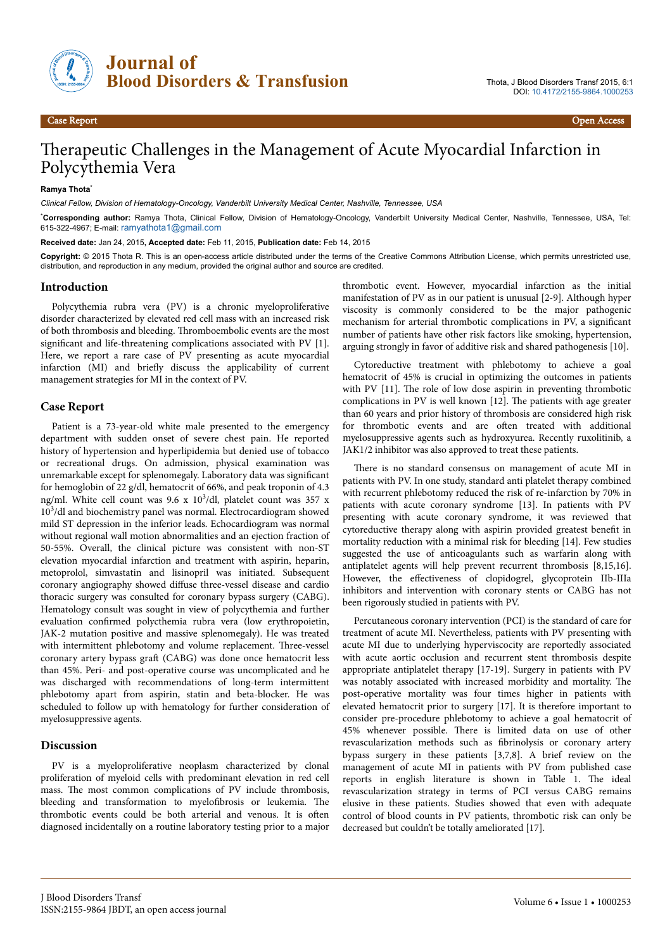

# Therapeutic Challenges in the Management of Acute Myocardial Infarction in Polycythemia Vera

#### **Ramya Thota**\*

*Clinical Fellow, Division of Hematology-Oncology, Vanderbilt University Medical Center, Nashville, Tennessee, USA*

\***Corresponding author:** Ramya Thota, Clinical Fellow, Division of Hematology-Oncology, Vanderbilt University Medical Center, Nashville, Tennessee, USA, Tel: 615-322-4967; E-mail: [ramyathota1@gmail.com](mailto:ramyathota1@gmail.com)

**Received date:** Jan 24, 2015**, Accepted date:** Feb 11, 2015, **Publication date:** Feb 14, 2015

**Copyright:** © 2015 Thota R. This is an open-access article distributed under the terms of the Creative Commons Attribution License, which permits unrestricted use, distribution, and reproduction in any medium, provided the original author and source are credited.

#### **Introduction**

Polycythemia rubra vera (PV) is a chronic myeloproliferative disorder characterized by elevated red cell mass with an increased risk of both thrombosis and bleeding. Thromboembolic events are the most significant and life-threatening complications associated with PV [1]. Here, we report a rare case of PV presenting as acute myocardial infarction (MI) and briefly discuss the applicability of current management strategies for MI in the context of PV.

#### **Case Report**

Patient is a 73-year-old white male presented to the emergency department with sudden onset of severe chest pain. He reported history of hypertension and hyperlipidemia but denied use of tobacco or recreational drugs. On admission, physical examination was unremarkable except for splenomegaly. Laboratory data was significant for hemoglobin of 22 g/dl, hematocrit of 66%, and peak troponin of 4.3 ng/ml. White cell count was 9.6 x 10<sup>3</sup>/dl, platelet count was 357 x 10<sup>3</sup> /dl and biochemistry panel was normal. Electrocardiogram showed mild ST depression in the inferior leads. Echocardiogram was normal without regional wall motion abnormalities and an ejection fraction of 50-55%. Overall, the clinical picture was consistent with non-ST elevation myocardial infarction and treatment with aspirin, heparin, metoprolol, simvastatin and lisinopril was initiated. Subsequent coronary angiography showed diffuse three-vessel disease and cardio thoracic surgery was consulted for coronary bypass surgery (CABG). Hematology consult was sought in view of polycythemia and further evaluation confirmed polycthemia rubra vera (low erythropoietin, JAK-2 mutation positive and massive splenomegaly). He was treated with intermittent phlebotomy and volume replacement. Нree-vessel coronary artery bypass graft (CABG) was done once hematocrit less than 45%. Peri- and post-operative course was uncomplicated and he was discharged with recommendations of long-term intermittent phlebotomy apart from aspirin, statin and beta-blocker. He was scheduled to follow up with hematology for further consideration of myelosuppressive agents.

## **Discussion**

PV is a myeloproliferative neoplasm characterized by clonal proliferation of myeloid cells with predominant elevation in red cell mass. Нe most common complications of PV include thrombosis, bleeding and transformation to myelofibrosis or leukemia. The thrombotic events could be both arterial and venous. It is often diagnosed incidentally on a routine laboratory testing prior to a major

thrombotic event. However, myocardial infarction as the initial manifestation of PV as in our patient is unusual [2-9]. Although hyper viscosity is commonly considered to be the major pathogenic mechanism for arterial thrombotic complications in PV, a significant number of patients have other risk factors like smoking, hypertension, arguing strongly in favor of additive risk and shared pathogenesis [10].

Cytoreductive treatment with phlebotomy to achieve a goal hematocrit of 45% is crucial in optimizing the outcomes in patients with PV [11]. The role of low dose aspirin in preventing thrombotic complications in PV is well known [12]. Нe patients with age greater than 60 years and prior history of thrombosis are considered high risk for thrombotic events and are often treated with additional myelosuppressive agents such as hydroxyurea. Recently ruxolitinib, a JAK1/2 inhibitor was also approved to treat these patients.

There is no standard consensus on management of acute MI in patients with PV. In one study, standard anti platelet therapy combined with recurrent phlebotomy reduced the risk of re-infarction by 70% in patients with acute coronary syndrome [13]. In patients with PV presenting with acute coronary syndrome, it was reviewed that cytoreductive therapy along with aspirin provided greatest benefit in mortality reduction with a minimal risk for bleeding [14]. Few studies suggested the use of anticoagulants such as warfarin along with antiplatelet agents will help prevent recurrent thrombosis [8,15,16]. However, the effectiveness of clopidogrel, glycoprotein IIb-IIIa inhibitors and intervention with coronary stents or CABG has not been rigorously studied in patients with PV.

Percutaneous coronary intervention (PCI) is the standard of care for treatment of acute MI. Nevertheless, patients with PV presenting with acute MI due to underlying hyperviscocity are reportedly associated with acute aortic occlusion and recurrent stent thrombosis despite appropriate antiplatelet therapy [17-19]. Surgery in patients with PV was notably associated with increased morbidity and mortality. Нe post-operative mortality was four times higher in patients with elevated hematocrit prior to surgery [17]. It is therefore important to consider pre-procedure phlebotomy to achieve a goal hematocrit of 45% whenever possible. Нere is limited data on use of other revascularization methods such as fibrinolysis or coronary artery bypass surgery in these patients [3,7,8]. A brief review on the management of acute MI in patients with PV from published case reports in english literature is shown in Table 1. Нe ideal revascularization strategy in terms of PCI versus CABG remains elusive in these patients. Studies showed that even with adequate control of blood counts in PV patients, thrombotic risk can only be decreased but couldn't be totally ameliorated [17].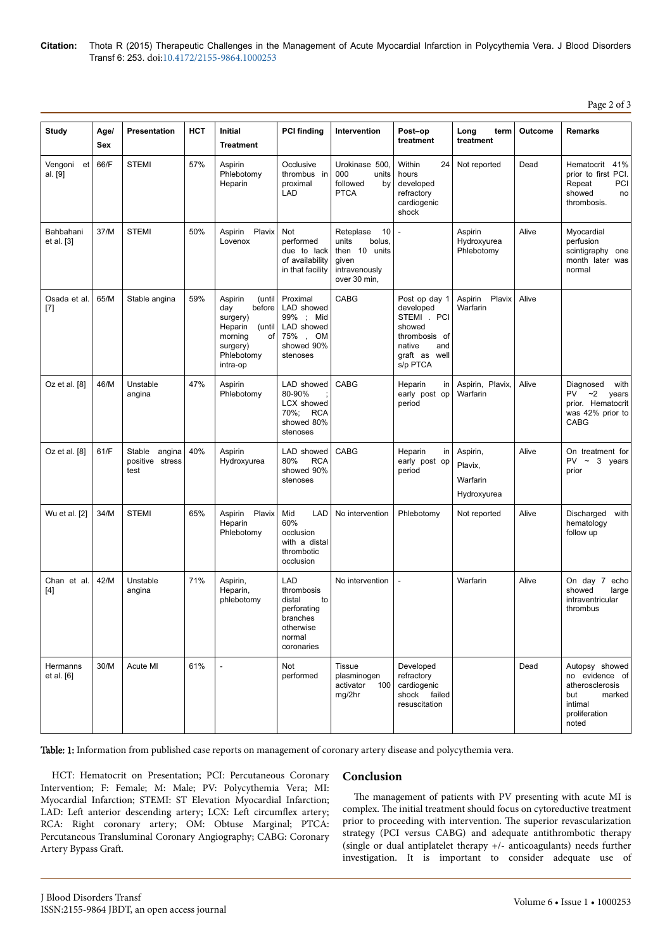**Citation:** Thota R (2015) Therapeutic Challenges in the Management of Acute Myocardial Infarction in Polycythemia Vera. J Blood Disorders Transf 6: 253. doi:10.4172/2155-9864.1000253

Page 2 of 3

| <b>Study</b>            | Age/ | Presentation                                | HCT | Initial                                                                                                                    | <b>PCI finding</b>                                                                                | Intervention                                                                                  | Post-op                                                                                                            | Long<br>term                                   | Outcome | <b>Remarks</b>                                                                                            |
|-------------------------|------|---------------------------------------------|-----|----------------------------------------------------------------------------------------------------------------------------|---------------------------------------------------------------------------------------------------|-----------------------------------------------------------------------------------------------|--------------------------------------------------------------------------------------------------------------------|------------------------------------------------|---------|-----------------------------------------------------------------------------------------------------------|
|                         | Sex  |                                             |     | <b>Treatment</b>                                                                                                           |                                                                                                   |                                                                                               | treatment                                                                                                          | treatment                                      |         |                                                                                                           |
| Vengoni et<br>al. [9]   | 66/F | <b>STEMI</b>                                | 57% | Aspirin<br>Phlebotomy<br>Heparin                                                                                           | Occlusive<br>thrombus in<br>proximal<br>LAD                                                       | Urokinase 500,<br>000<br>units<br>followed<br>by<br><b>PTCA</b>                               | Within<br>24<br>hours<br>developed<br>refractory<br>cardiogenic<br>shock                                           | Not reported                                   | Dead    | Hematocrit<br>41%<br>prior to first PCI.<br>PCI<br>Repeat<br>showed<br>no<br>thrombosis.                  |
| Bahbahani<br>et al. [3] | 37/M | <b>STEMI</b>                                | 50% | Aspirin Plavix<br>Lovenox                                                                                                  | <b>Not</b><br>performed<br>due to lack<br>of availability<br>in that facility                     | 10<br>Reteplase<br>bolus,<br>units<br>then 10 units<br>given<br>intravenously<br>over 30 min, | Ĭ.                                                                                                                 | Aspirin<br>Hydroxyurea<br>Phlebotomy           | Alive   | Myocardial<br>perfusion<br>scintigraphy one<br>month later was<br>normal                                  |
| Osada et al.<br>$[7]$   | 65/M | Stable angina                               | 59% | Aspirin<br>(until<br>before<br>day<br>surgery)<br>Heparin<br>(until<br>οf<br>morning<br>surgery)<br>Phlebotomy<br>intra-op | Proximal<br>LAD showed<br>99% ; Mid<br>LAD showed<br>75%, OM<br>showed 90%<br>stenoses            | CABG                                                                                          | Post op day 1<br>developed<br>STEMI . PCI<br>showed<br>thrombosis of<br>native<br>and<br>graft as well<br>s/p PTCA | Aspirin Plavix<br>Warfarin                     | Alive   |                                                                                                           |
| Oz et al. [8]           | 46/M | Unstable<br>angina                          | 47% | Aspirin<br>Phlebotomy                                                                                                      | LAD showed<br>80-90%<br>LCX showed<br>70%;<br><b>RCA</b><br>showed 80%<br>stenoses                | CABG                                                                                          | Heparin<br>in<br>early post op<br>period                                                                           | Aspirin, Plavix,<br>Warfarin                   | Alive   | Diagnosed<br>with<br><b>PV</b><br>~2<br>years<br>prior. Hematocrit<br>was 42% prior to<br><b>CABG</b>     |
| Oz et al. [8]           | 61/F | Stable<br>angina<br>positive stress<br>test | 40% | Aspirin<br>Hydroxyurea                                                                                                     | LAD showed<br>80%<br><b>RCA</b><br>showed 90%<br>stenoses                                         | CABG                                                                                          | Heparin<br>in<br>early post op<br>period                                                                           | Aspirin,<br>Plavix,<br>Warfarin<br>Hydroxyurea | Alive   | On treatment for<br>$PV \sim 3$ years<br>prior                                                            |
| Wu et al. [2]           | 34/M | <b>STEMI</b>                                | 65% | Aspirin Plavix<br>Heparin<br>Phlebotomy                                                                                    | Mid<br>LAD<br>60%<br>occlusion<br>with a distal<br>thrombotic<br>occlusion                        | No intervention                                                                               | Phlebotomy                                                                                                         | Not reported                                   | Alive   | Discharged<br>with<br>hematology<br>follow up                                                             |
| Chan et al.<br>$[4]$    | 42/M | Unstable<br>angina                          | 71% | Aspirin,<br>Heparin,<br>phlebotomy                                                                                         | LAD<br>thrombosis<br>distal<br>to<br>perforating<br>branches<br>otherwise<br>normal<br>coronaries | No intervention                                                                               | $\overline{\phantom{a}}$                                                                                           | Warfarin                                       | Alive   | On day 7<br>echo<br>showed<br>large<br>intraventricular<br>thrombus                                       |
| Hermanns<br>et al. [6]  | 30/M | Acute MI                                    | 61% | $\overline{\phantom{a}}$                                                                                                   | Not<br>performed                                                                                  | <b>Tissue</b><br>plasminogen<br>activator<br>100<br>mg/2hr                                    | Developed<br>refractory<br>cardiogenic<br>shock failed<br>resuscitation                                            |                                                | Dead    | Autopsy showed<br>no evidence of<br>atherosclerosis<br>marked<br>but<br>intimal<br>proliferation<br>noted |

Table: 1: Information from published case reports on management of coronary artery disease and polycythemia vera.

HCT: Hematocrit on Presentation; PCI: Percutaneous Coronary Intervention; F: Female; M: Male; PV: Polycythemia Vera; MI: Myocardial Infarction; STEMI: ST Elevation Myocardial Infarction; LAD: Left anterior descending artery; LCX: Left circumflex artery; RCA: Right coronary artery; OM: Obtuse Marginal; PTCA: Percutaneous Transluminal Coronary Angiography; CABG: Coronary Artery Bypass Graft.

## **Conclusion**

The management of patients with PV presenting with acute MI is complex. Нe initial treatment should focus on cytoreductive treatment prior to proceeding with intervention. Нe superior revascularization strategy (PCI versus CABG) and adequate antithrombotic therapy (single or dual antiplatelet therapy +/- anticoagulants) needs further investigation. It is important to consider adequate use of